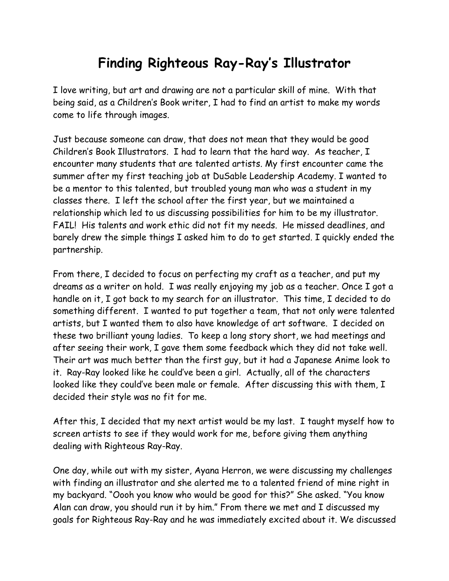## **Finding Righteous Ray-Ray's Illustrator**

I love writing, but art and drawing are not a particular skill of mine. With that being said, as a Children's Book writer, I had to find an artist to make my words come to life through images.

Just because someone can draw, that does not mean that they would be good Children's Book Illustrators. I had to learn that the hard way. As teacher, I encounter many students that are talented artists. My first encounter came the summer after my first teaching job at DuSable Leadership Academy. I wanted to be a mentor to this talented, but troubled young man who was a student in my classes there. I left the school after the first year, but we maintained a relationship which led to us discussing possibilities for him to be my illustrator. FAIL! His talents and work ethic did not fit my needs. He missed deadlines, and barely drew the simple things I asked him to do to get started. I quickly ended the partnership.

From there, I decided to focus on perfecting my craft as a teacher, and put my dreams as a writer on hold. I was really enjoying my job as a teacher. Once I got a handle on it, I got back to my search for an illustrator. This time, I decided to do something different. I wanted to put together a team, that not only were talented artists, but I wanted them to also have knowledge of art software. I decided on these two brilliant young ladies. To keep a long story short, we had meetings and after seeing their work, I gave them some feedback which they did not take well. Their art was much better than the first guy, but it had a Japanese Anime look to it. Ray-Ray looked like he could've been a girl. Actually, all of the characters looked like they could've been male or female. After discussing this with them, I decided their style was no fit for me.

After this, I decided that my next artist would be my last. I taught myself how to screen artists to see if they would work for me, before giving them anything dealing with Righteous Ray-Ray.

One day, while out with my sister, Ayana Herron, we were discussing my challenges with finding an illustrator and she alerted me to a talented friend of mine right in my backyard. "Oooh you know who would be good for this?" She asked. "You know Alan can draw, you should run it by him." From there we met and I discussed my goals for Righteous Ray-Ray and he was immediately excited about it. We discussed